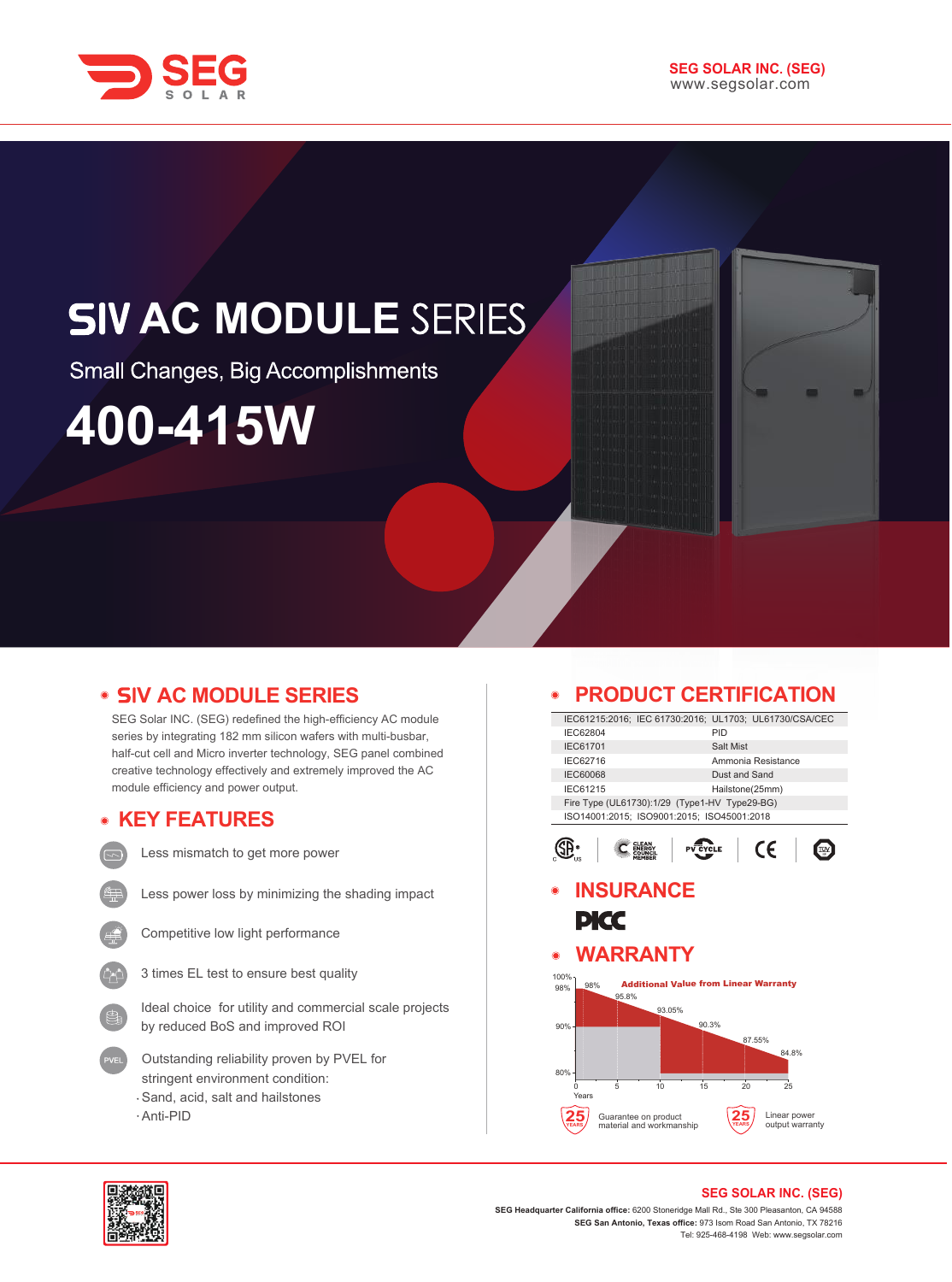

## **SIV AC MODULE SERIES**

Small Changes, Big Accomplishments

# **400-415W**

## **• SIV AC MODULE SERIES**

SEG Solar INC. (SEG) redefined the high-efficiency AC module series by integrating 182 mm silicon wafers with multi-busbar, half-cut cell and Micro inverter technology, SEG panel combined creative technology effectively and extremely improved the AC module efficiency and power output.

### **KEY FEATURES**

Less mismatch to get more power





Less power loss by minimizing the shading impact



Competitive low light performance



Ideal choice for utility and commercial scale projects by reduced BoS and improved ROI

- Outstanding reliability proven by PVEL for stringent environment condition: Sand, acid, salt and hailstones
- Anti-PID

## **PRODUCT CERTIFICATION**

|                           |                                                        |                                              | PRODUCT CERTIFICATION |                                 |  |  |
|---------------------------|--------------------------------------------------------|----------------------------------------------|-----------------------|---------------------------------|--|--|
|                           | IEC61215:2016; IEC 61730:2016; UL1703; UL61730/CSA/CEC |                                              |                       |                                 |  |  |
| IEC62804                  |                                                        |                                              | PID                   |                                 |  |  |
| IEC61701                  |                                                        |                                              | Salt Mist             |                                 |  |  |
| IEC62716                  |                                                        |                                              | Ammonia Resistance    |                                 |  |  |
| <b>IEC60068</b>           |                                                        |                                              | Dust and Sand         |                                 |  |  |
| <b>IEC61215</b>           |                                                        |                                              | Hailstone(25mm)       |                                 |  |  |
|                           | Fire Type (UL61730):1/29 (Type1-HV Type29-BG)          |                                              |                       |                                 |  |  |
|                           | ISO14001:2015; ISO9001:2015; ISO45001:2018             |                                              |                       |                                 |  |  |
|                           |                                                        | <b>PV CYCLE</b>                              |                       | CE                              |  |  |
|                           | <b>INSURANCE</b>                                       |                                              |                       |                                 |  |  |
|                           |                                                        |                                              |                       |                                 |  |  |
| PKC                       |                                                        |                                              |                       |                                 |  |  |
|                           |                                                        |                                              |                       |                                 |  |  |
| ∩                         | <b>WARRANTY</b>                                        |                                              |                       |                                 |  |  |
|                           |                                                        |                                              |                       |                                 |  |  |
|                           |                                                        |                                              |                       |                                 |  |  |
|                           |                                                        |                                              |                       |                                 |  |  |
| 98%                       | 95.8%                                                  | <b>Additional Value from Linear Warranty</b> |                       |                                 |  |  |
|                           | 93.05%                                                 |                                              |                       |                                 |  |  |
|                           |                                                        | 90.3%                                        |                       |                                 |  |  |
|                           |                                                        |                                              | 87.55%                |                                 |  |  |
|                           |                                                        |                                              |                       | 84.8%                           |  |  |
|                           |                                                        |                                              |                       |                                 |  |  |
|                           |                                                        |                                              |                       |                                 |  |  |
| n<br>Years                | 5<br>10                                                | 15                                           | 20                    | 25                              |  |  |
| 100%<br>98%<br>90%<br>80% | Guarantee on product<br>material and workmanship       |                                              |                       | Linear power<br>output warranty |  |  |



#### **SEG SOLAR INC. (SEG)**

**SEG Headquarter California office:** 6200 Stoneridge Mall Rd., Ste 300 Pleasanton, CA 94588 **SEG San Antonio, Texas office:** 973 Isom Road San Antonio, TX 78216 Tel: 925-468-4198 Web: www.segsolar.com